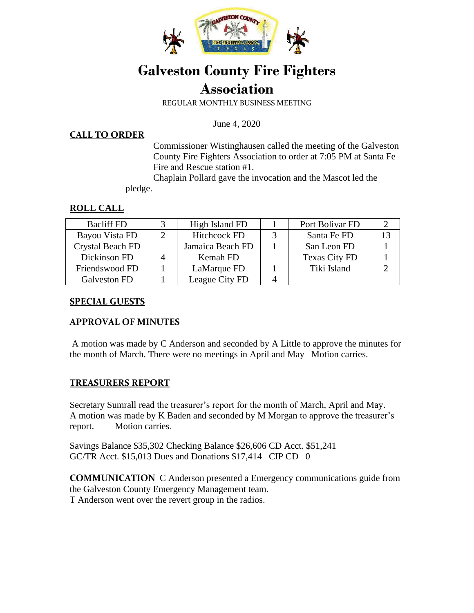

# **Galveston County Fire Fighters Association**

REGULAR MONTHLY BUSINESS MEETING

June 4, 2020

#### **CALL TO ORDER**

Commissioner Wistinghausen called the meeting of the Galveston County Fire Fighters Association to order at 7:05 PM at Santa Fe Fire and Rescue station #1.

 Chaplain Pollard gave the invocation and the Mascot led the pledge.

### **ROLL CALL**

| <b>Bacliff FD</b>       | High Island FD      | Port Bolivar FD      |  |
|-------------------------|---------------------|----------------------|--|
| Bayou Vista FD          | <b>Hitchcock FD</b> | Santa Fe FD          |  |
| <b>Crystal Beach FD</b> | Jamaica Beach FD    | San Leon FD          |  |
| Dickinson FD            | Kemah FD            | <b>Texas City FD</b> |  |
| Friendswood FD          | LaMarque FD         | Tiki Island          |  |
| Galveston FD            | League City FD      |                      |  |

#### **SPECIAL GUESTS**

### **APPROVAL OF MINUTES**

A motion was made by C Anderson and seconded by A Little to approve the minutes for the month of March. There were no meetings in April and May Motion carries.

### **TREASURERS REPORT**

Secretary Sumrall read the treasurer's report for the month of March, April and May. A motion was made by K Baden and seconded by M Morgan to approve the treasurer's report. Motion carries.

Savings Balance \$35,302 Checking Balance \$26,606 CD Acct. \$51,241 GC/TR Acct. \$15,013 Dues and Donations \$17,414 CIP CD 0

**COMMUNICATION** C Anderson presented a Emergency communications guide from the Galveston County Emergency Management team. T Anderson went over the revert group in the radios.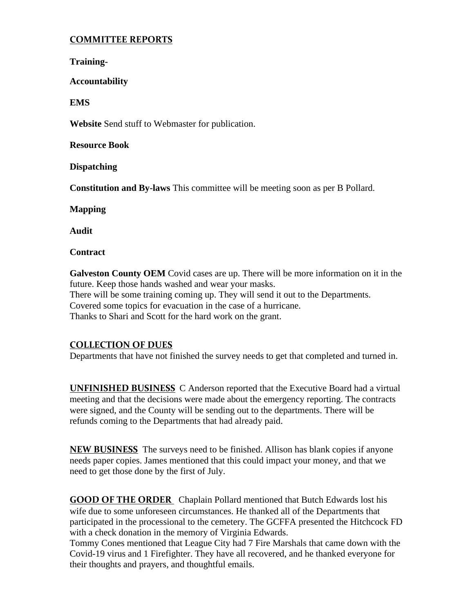## **COMMITTEE REPORTS**

**Training-**

**Accountability** 

**EMS** 

**Website** Send stuff to Webmaster for publication.

**Resource Book** 

**Dispatching** 

**Constitution and By-laws** This committee will be meeting soon as per B Pollard.

**Mapping** 

**Audit** 

**Contract** 

**Galveston County OEM** Covid cases are up. There will be more information on it in the future. Keep those hands washed and wear your masks. There will be some training coming up. They will send it out to the Departments. Covered some topics for evacuation in the case of a hurricane. Thanks to Shari and Scott for the hard work on the grant.

### **COLLECTION OF DUES**

Departments that have not finished the survey needs to get that completed and turned in.

**UNFINISHED BUSINESS** C Anderson reported that the Executive Board had a virtual meeting and that the decisions were made about the emergency reporting. The contracts were signed, and the County will be sending out to the departments. There will be refunds coming to the Departments that had already paid.

**NEW BUSINESS** The surveys need to be finished. Allison has blank copies if anyone needs paper copies. James mentioned that this could impact your money, and that we need to get those done by the first of July.

**GOOD OF THE ORDER** Chaplain Pollard mentioned that Butch Edwards lost his wife due to some unforeseen circumstances. He thanked all of the Departments that participated in the processional to the cemetery. The GCFFA presented the Hitchcock FD with a check donation in the memory of Virginia Edwards.

Tommy Cones mentioned that League City had 7 Fire Marshals that came down with the Covid-19 virus and 1 Firefighter. They have all recovered, and he thanked everyone for their thoughts and prayers, and thoughtful emails.